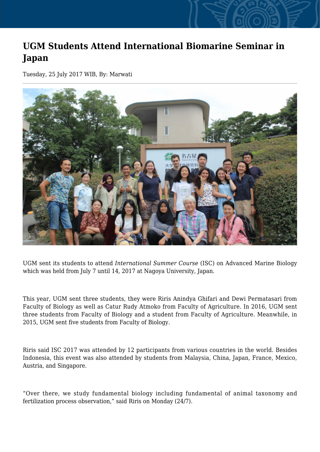## **UGM Students Attend International Biomarine Seminar in Japan**

Tuesday, 25 July 2017 WIB, By: Marwati



UGM sent its students to attend *International Summer Course* (ISC) on Advanced Marine Biology which was held from July 7 until 14, 2017 at Nagoya University, Japan.

This year, UGM sent three students, they were Riris Anindya Ghifari and Dewi Permatasari from Faculty of Biology as well as Catur Rudy Atmoko from Faculty of Agriculture. In 2016, UGM sent three students from Faculty of Biology and a student from Faculty of Agriculture. Meanwhile, in 2015, UGM sent five students from Faculty of Biology.

Riris said ISC 2017 was attended by 12 participants from various countries in the world. Besides Indonesia, this event was also attended by students from Malaysia, China, Japan, France, Mexico, Austria, and Singapore.

"Over there, we study fundamental biology including fundamental of animal taxonomy and fertilization process observation," said Riris on Monday (24/7).